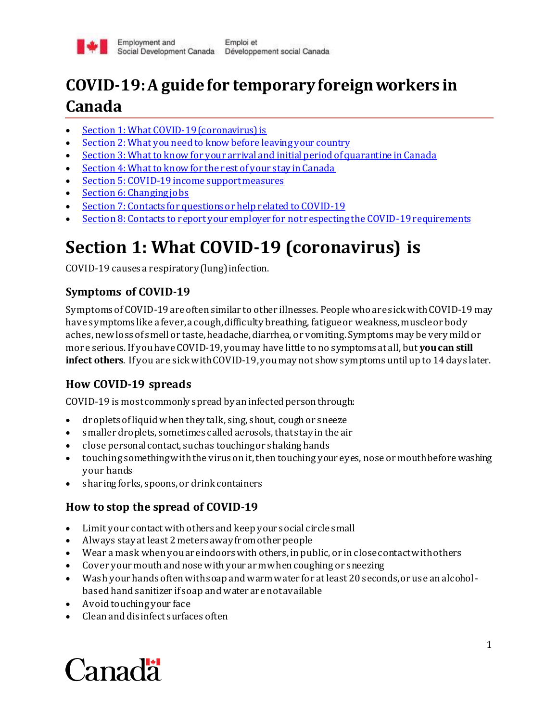

# **COVID-19: A guide for temporary foreign workers in Canada**

- Section 1: What COVID-19 (coronavirus) is
- Section 2: What you need to know before leaving your country
- Section 3: What to know for your arrival and initial period of quarantine in Canada
- Section 4: What to know for the rest of your stay in Canada
- Section 5: COVID-19 income support measures
- Section 6: Changing jobs
- Section 7: Contacts for questions or help related to COVID-19
- Section 8: Contacts to report your employer for not respecting the COVID-19 requirements

# **Section 1: What COVID-19 (coronavirus) is**

COVID-19 causes a respiratory (lung) infection.

# **Symptoms of COVID-19**

Symptoms of COVID-19 are often similar to other illnesses. People who are sick with COVID-19 may have symptoms like a fever, a cough, difficulty breathing, fatigue or weakness, muscle or body aches, new loss of smell or taste, headache, diarrhea, or vomiting. Symptoms may be very mild or more serious. If you haveCOVID-19, youmay have little to no symptoms at all, but **you can still infect others**. If you are sick with COVID-19, youmay not show symptoms until up to 14 days later.

# **How COVID-19 spreads**

COVID-19 is most commonly spread by an infected person through:

- droplets of liquid when they talk, sing, shout, cough or sneeze
- smaller droplets, sometimes called aerosols, that stay in the air
- close personal contact, such as touching or shaking hands
- touching something with the virus on it, then touching your eyes, nose or mouth before washing your hands
- sharing forks, spoons, or drink containers

# **How to stop the spread of COVID-19**

- Limit your contact with others and keep your social circle small
- Always stay at least 2 meters away from other people
- Wear a mask when you are indoors with others, in public, or in close contact with others
- Cover your mouth and nose with your arm when coughing or sneezing
- Wash your hands often with soap and warm water for at least 20 seconds, or use an alcoholbased hand sanitizer if soap and water are not available
- Avoid touching your face
- Clean and disinfect surfaces often

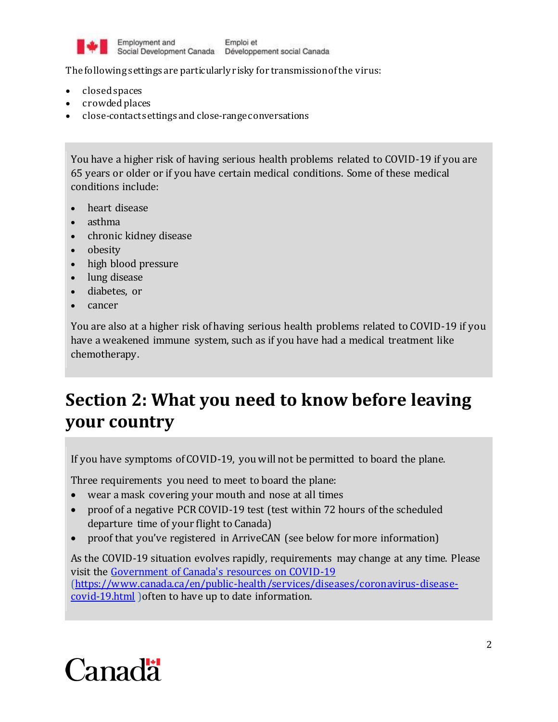

The following settings are particularly risky for transmission of the virus:

- closed spaces
- crowded places
- close-contact settings and close-range conversations

You have a higher risk of having serious health problems related to COVID-19 if you are 65 years or older or if you have certain medical conditions. Some of these medical conditions include:

- heart disease
- asthma
- chronic kidney disease
- obesity
- high blood pressure
- lung disease
- diabetes, or
- cancer

You are also at a higher risk of having serious health problems related to COVID-19 if you have a weakened immune system, such as if you have had a medical treatment like chemotherapy.

# **Section 2: What you need to know before leaving your country**

If you have symptoms of COVID-19, you will not be permitted to board the plane.

Three requirements you need to meet to board the plane:

- wear a mask covering your mouth and nose at all times
- proof of a negative PCR COVID-19 test (test within 72 hours of the scheduled departure time of your flight to Canada)
- proof that you've registered in ArriveCAN (see below for more information)

As the COVID-19 situation evolves rapidly, requirements may change at any time. Please visit the [Government of Canada's resources on COVID-19](https://www.canada.ca/en/public-health/services/diseases/coronavirus-disease-covid-19.html) [\(https://www.canada.ca/en/public-health/services/diseases/coronavirus-disease](https://www.canada.ca/en/public-health/services/diseases/coronavirus-disease-covid-19.html)[covid-19.html](https://www.canada.ca/en/public-health/services/diseases/coronavirus-disease-covid-19.html) ) often to have up to date information.

# Canadä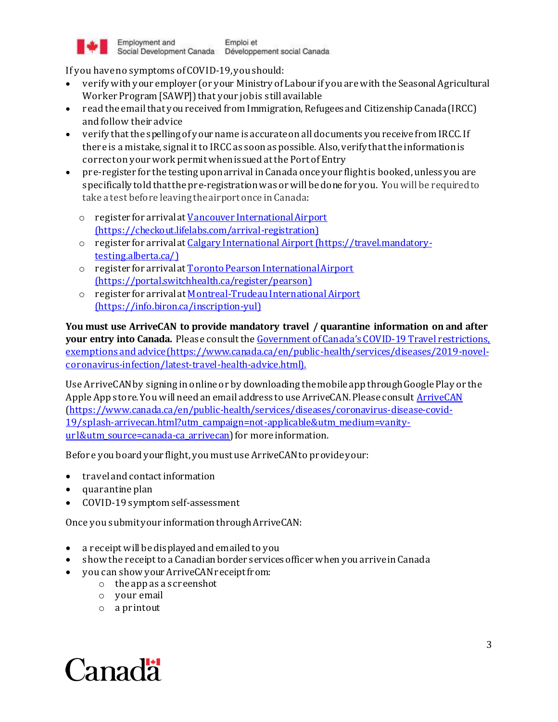

If you have no symptoms of COVID-19, you should:

- verify with your employer (or your Ministry of Labour if you are with the Seasonal Agricultural Worker Program [SAWP]) that your job is still available
- read the email that you received from Immigration, Refugees and Citizenship Canada (IRCC) and follow their advice
- verify that the spelling of your name is accurate on all documents you receive from IRCC. If there is a mistake, signal it to IRCC as soon as possible. Also, verify that the information is correct on your work permit when issued at the Port of Entry
- pre-register for the testing upon arrival in Canada once your flight is booked, unless you are specifically told that the pre-registration was or will be done for you. You will be required to take a test before leaving the airport once in Canada:
	- o register for arrival a[t Vancouver International Airport](https://checkout.lifelabs.com/arrival-registration) (https://checkout.lifelabs.com/arrival-registration)
	- o register for arrival a[t Calgary International Airport](https://travel.mandatory-testing.alberta.ca/) [\(https://travel.mandatory](https://travel.mandatory-testing.alberta.ca/)[testing.alberta.ca/](https://travel.mandatory-testing.alberta.ca/))
	- o register for arrival a[t Toronto Pearson International Airport](https://portal.switchhealth.ca/register/pearson) [\(https://portal.switchhealth.ca/register/pearson](https://portal.switchhealth.ca/register/pearson))
	- o register for arrival a[t Montreal-Trudeau International Airport](https://info.biron.ca/inscription-yul) [\(https://info.biron.ca/inscription-yul](https://info.biron.ca/inscription-yul))

**You must use ArriveCAN to provide mandatory travel / quarantine information on and after your entry into Canada.** Please consult the [Government of Canada's COVID](Government%20of%20Canada’s%20COVID-19%20Travel%20restrictions,%20exemptions%20and%20advice%20(https:/www.canada.ca/en/public-health/services/diseases/2019-novel-coronavirus-infection/latest-travel-health-advice.html).)-19 Travel restrictions, [exemptions and advice \(https://www.canada.ca/en/public-health/services/diseases/2019-novel](Government%20of%20Canada’s%20COVID-19%20Travel%20restrictions,%20exemptions%20and%20advice%20(https:/www.canada.ca/en/public-health/services/diseases/2019-novel-coronavirus-infection/latest-travel-health-advice.html).)[coronavirus-infection/latest-travel-health-advice.html\).](Government%20of%20Canada’s%20COVID-19%20Travel%20restrictions,%20exemptions%20and%20advice%20(https:/www.canada.ca/en/public-health/services/diseases/2019-novel-coronavirus-infection/latest-travel-health-advice.html).)

Use ArriveCAN by signing in online or by downloading the mobile app through Google Play or the Apple App store. You will need an email address to use ArriveCAN. Please consul[t ArriveCAN](https://www.canada.ca/en/public-health/services/diseases/coronavirus-disease-covid-19/splash-arrivecan.html?utm_campaign=not-applicable&utm_medium=vanity-url&utm_source=canada-ca_arrivecan) [\(https://www.canada.ca/en/public-health/services/diseases/coronavirus-disease-covid-](https://www.canada.ca/en/public-health/services/diseases/coronavirus-disease-covid-19/splash-arrivecan.html?utm_campaign=not-applicable&utm_medium=vanity-url&utm_source=canada-ca_arrivecan)[19/splash-arrivecan.html?utm\\_campaign=not-applicable&utm\\_medium=vanity](https://www.canada.ca/en/public-health/services/diseases/coronavirus-disease-covid-19/splash-arrivecan.html?utm_campaign=not-applicable&utm_medium=vanity-url&utm_source=canada-ca_arrivecan)[url&utm\\_source=canada-ca\\_arrivecan](https://www.canada.ca/en/public-health/services/diseases/coronavirus-disease-covid-19/splash-arrivecan.html?utm_campaign=not-applicable&utm_medium=vanity-url&utm_source=canada-ca_arrivecan)) for more information.

Before you board your flight, you must use ArriveCAN to provide your:

- travel and contact information
- quarantine plan
- COVID-19 symptom self-assessment

Once you submit your information through ArriveCAN:

- a receipt will be displayed and emailed to you
- show the receipt to a Canadian border services officer when you arrive in Canada
- you can show your ArriveCAN receipt from:
	- o the app as a screenshot
	- o your email
	- o a printout

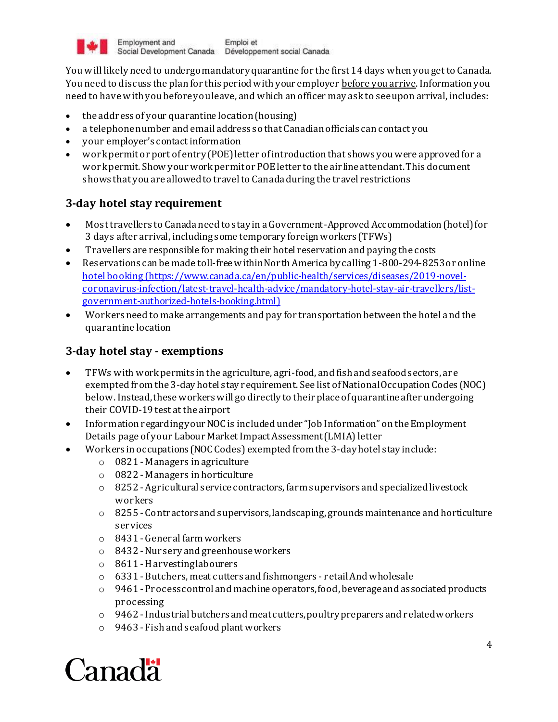

You will likely need to undergo mandatory quarantine for the first 14 days when you get to Canada. You need to discuss the plan for this period with your employer before you arrive.Information you need to have with you before you leave, and which an officer may ask to see upon arrival, includes:

- the address of your quarantine location (housing)
- a telephone number and email address so that Canadian officials can contact you
- your employer's contact information
- work permit or port of entry (POE) letter of introduction that shows you were approved for a work permit. Show your work permit or POE letter to the airline attendant. This document shows that you are allowed to travel to Canada during the travel restrictions

### **3-day hotel stay requirement**

- Most travellers to Canada need to stay in a Government-Approved Accommodation (hotel) for 3 days after arrival, including some temporary foreign workers (TFWs)
- Travellers are responsible for making their hotel reservation and paying the costs
- Reservations can be made toll-free within North America by calling 1-800-294-8253or online [hotel booking](https://www.canada.ca/en/public-health/services/diseases/2019-novel-coronavirus-infection/latest-travel-health-advice/mandatory-hotel-stay-air-travellers/list-government-authorized-hotels-booking.html) (https://www.canada.ca/en/public-health/services/diseases/2019-novelcoronavirus-infection/latest-travel-health-advice/mandatory-hotel-stay-air-travellers/listgovernment-authorized-hotels-booking.html)
- Workers need to make arrangements and pay for transportation between the hotel and the quarantine location

### **3-day hotel stay - exemptions**

- TFWs with work permits in the agriculture, agri-food, and fish and seafood sectors, are exempted from the 3-day hotel stay requirement. See list of National Occupation Codes (NOC) below. Instead, these workers will go directly to their place of quarantine after undergoing their COVID-19 test at the airport
- Information regarding your NOC is included under "Job Information" on the Employment Details page of your Labour Market Impact Assessment (LMIA) letter
- Workers in occupations (NOC Codes) exempted from the 3-day hotel stay include:
	- o 0821 Managers in agriculture
		- o 0822 Managers in horticulture
		- $\circ$  8252 Agricultural service contractors, farm supervisors and specialized livestock workers
		- $\circ$  8255 Contractors and supervisors, landscaping, grounds maintenance and horticulture services
		- o 8431 General farm workers
		- o 8432 -Nursery and greenhouse workers
		- o 8611 -Harvesting labourers
		- o 6331 Butchers, meat cutters and fishmongers retail And wholesale
		- $\circ$  9461 Process control and machine operators, food, beverage and associated products processing
		- $\circ$  9462 Industrial butchers and meat cutters, poultry preparers and related workers
		- o 9463 Fish and seafood plant workers

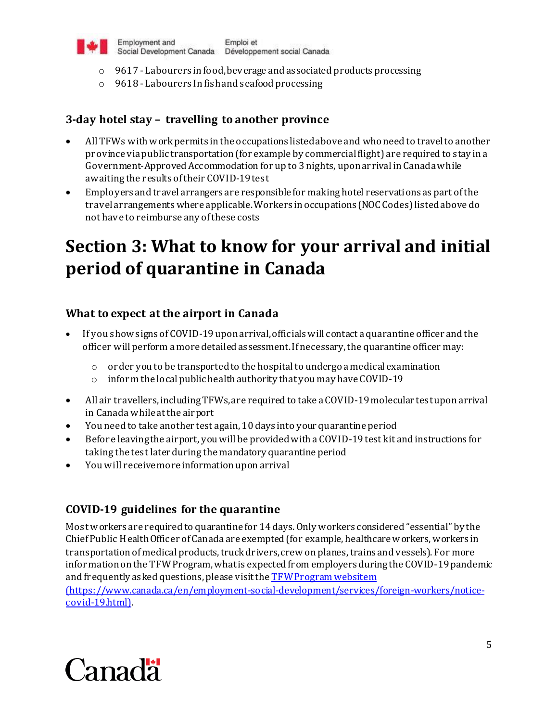

- o 9617 Labourers in food, beverage and associated products processing
- o 9618 Labourers In fish and seafood processing

## **3-day hotel stay – travelling to another province**

- All TFWs with work permits in the occupations listed above and who need to travelto another province via public transportation (for example by commercial flight) are required to stay in a Government-Approved Accommodation for up to 3 nights, upon arrival in Canada while awaiting the results of their COVID-19 test
- Employers and travel arrangers are responsible for making hotel reservations as part of the travel arrangements where applicable.Workers in occupations (NOC Codes) listed abovedo not have to reimburse any of these costs

# **Section 3: What to know for your arrival and initial period of quarantine in Canada**

### **What to expect at the airport in Canada**

- If you show signs of COVID-19 upon arrival, officials will contact a quarantine officer and the officer will perform a more detailed assessment. If necessary, the quarantine officer may:
	- $\circ$  order you to be transported to the hospital to undergo a medical examination
	- o inform the local public health authority that you may have COVID-19
- All air travellers, including TFWs, are required to take a COVID-19 molecular test upon arrival in Canada while at the airport
- You need to take another test again, 10 days into your quarantine period
- Before leaving the airport, you will be provided with a COVID-19 test kit and instructions for taking the test later during the mandatory quarantine period
- You will receive more information upon arrival

# **COVID-19 guidelines for the quarantine**

Most workers are required to quarantine for 14 days. Only workers considered "essential" by the Chief Public Health Officer of Canada are exempted (for example, healthcare workers, workers in transportation of medical products, truck drivers, crew on planes, trains and vessels). For more information on the TFWProgram, what is expected from employers during the COVID-19 pandemic and frequently asked questions, please visit th[e TFW Program website](https://www.canada.ca/en/employment-social-development/services/foreign-workers/notice-covid-19.html)m

(https://www.canada.ca/en/employment-social-development/services/foreign-workers/noticecovid-19.html).

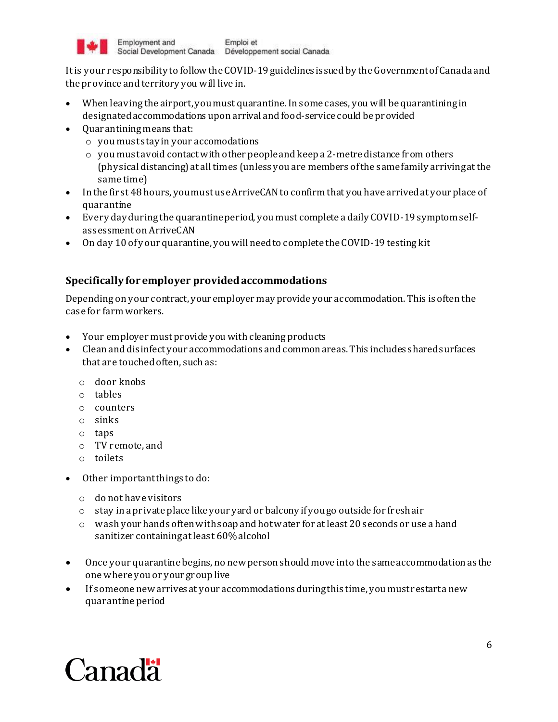

It is your responsibility to follow the COVID-19 guidelines issued by the Government of Canada and the province and territory you will live in.

- When leaving the airport, you must quarantine. In some cases, you will be quarantining in designatedaccommodations upon arrival and food-service could be provided
- Ouarantining means that:
	- $\circ$  you must stay in your accomodations
	- $\circ$  you must avoid contact with other people and keep a 2-metre distance from others (physical distancing) at all times (unless you are members of the same family arriving at the same time)
- In the first 48 hours, you must use ArriveCAN to confirm that you have arrived at your place of quarantine
- Every day during the quarantine period, you must complete a daily COVID-19 symptom selfassessment on ArriveCAN
- On day 10 of your quarantine, you will need to complete the COVID-19 testing kit

### **Specifically for employer provided accommodations**

Depending on your contract, your employer may provide your accommodation. This is often the case for farm workers.

- Your employer mustprovide you with cleaning products
- Clean and disinfect your accommodations and common areas. This includes shared surfaces that are touched often, such as:
	- o door knobs
	- o tables
	- o counters
	- o sinks
	- $o$  taps
	- o TV remote, and
	- o toilets
- Other important things to do:
	- o do not have visitors
	- o stay in a private place like your yard or balcony if you go outside for fresh air
	- $\circ$  wash your hands often with soap and hot water for at least 20 seconds or use a hand sanitizer containing at least 60% alcohol
- Once your quarantine begins, no new person should move into the same accommodation as the one where you or your group live
- If someone new arrives at your accommodations during this time, you must restart a new quarantine period

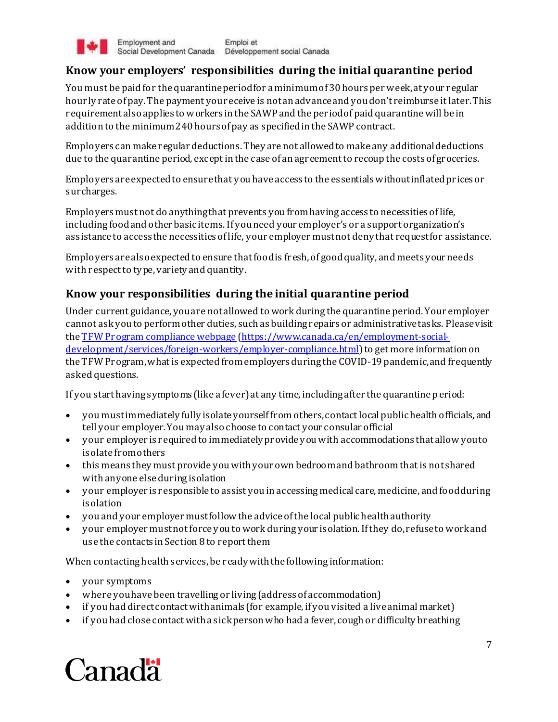

### **Know your employers' responsibilities during the initial quarantine period**

You must be paid for the quarantine period for a minimum of 30 hours per week, at your regular hourly rate of pay. The payment you receive is not an advance and you don't reimburse it later. This requirement also applies to workers in the SAWP and the period of paid quarantine will be in addition to the minimum 240 hours of pay as specified in the SAWP contract.

Employers can make regular deductions. They are not allowed to make any additional deductions due to the quarantine period, except in the case of an agreement to recoup the costs of groceries.

Employers are expected to ensure that you have access to the essentials without inflated prices or surcharges.

Employers must not do anything that prevents you from having access to necessities of life, including food and other basic items. If you need your employer's or a support organization's assistance to access the necessities of life, your employer must not deny that request for assistance.

Employers are also expected to ensure that food is fresh, of good quality, and meets your needs with respect to type, variety and quantity.

### **Know your responsibilities during the initial quarantine period**

Under current guidance, you are not allowed to work during the quarantine period. Your employer cannot ask you to perform other duties, such as building repairs or administrative tasks. Please visit th[e TFWProgram compliance](https://www.canada.ca/en/employment-social-development/services/foreign-workers/employer-compliance.html) webpage [\(https://www.canada.ca/en/employment-social](https://www.canada.ca/en/employment-social-development/services/foreign-workers/employer-compliance.html)[development/services/foreign-workers/employer-compliance.html](https://www.canada.ca/en/employment-social-development/services/foreign-workers/employer-compliance.html)) to get more information on the TFWProgram, what is expected from employers during the COVID-19 pandemic, and frequently asked questions.

If you start having symptoms (like a fever) at any time, including after the quarantine period:

- you must immediately fully isolate yourself from others, contact local public health officials, and tell your employer. You may also choose to contact your consular official
- your employer is required to immediately provide you with accommodations that allow you to isolate from others
- this means they must provide you with your own bedroom and bathroom that is not shared with anyone else during isolation
- your employer is responsible to assist you in accessing medical care, medicine, and food during isolation
- you and your employer must follow the advice of the local public health authority
- your employer must not force you to work during your isolation. If they do, refuse to work and use the contacts in Section 8 to report them

When contacting health services, be ready with the following information:

- your symptoms
- where you have been travelling or living (address of accommodation)
- if you had direct contact with animals (for example, if you visited a live animal market)
- if you had close contact with a sick person who had a fever, cough or difficulty breathing

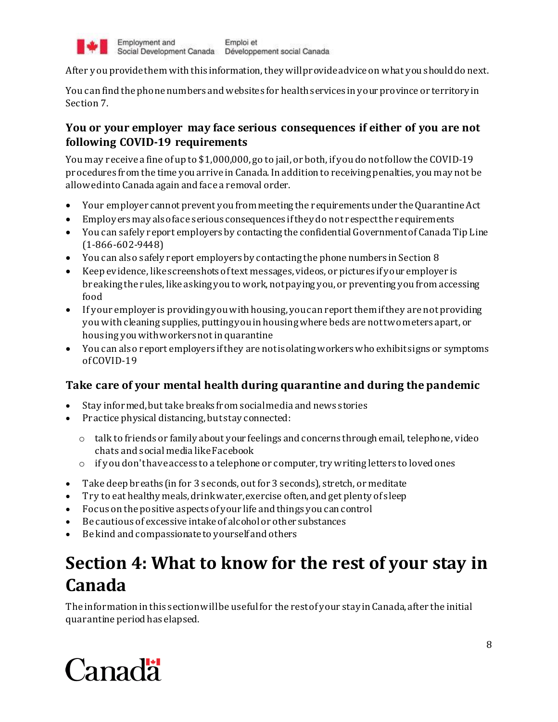

After you provide them with this information, they will provide advice on what you should do next.

You can find the phone numbers and websites for health services in your province or territory in Section 7.

# **You or your employer may face serious consequences if either of you are not following COVID-19 requirements**

You may receive a fine of up to \$1,000,000, go to jail, or both, if you do not follow the COVID-19 procedures from the time you arrive in Canada. In addition to receiving penalties, you may not be allowed into Canada again and face a removal order.

- Your employer cannot prevent you from meeting the requirements under the Quarantine Act
- Employers may also face serious consequences if they do not respect the requirements
- You can safely report employers by contacting the confidential Government of Canada Tip Line (1-866-602-9448)
- You can also safely report employers by contacting the phone numbers in Section 8
- Keep evidence, like screenshots of text messages, videos, or pictures if your employer is breaking the rules, like asking you to work, not paying you, or preventing you from accessing food
- If your employer is providing you with housing, you can report them if they are not providing you with cleaning supplies, putting you in housing where beds are not two meters apart, or housing you with workers not in quarantine
- You can also report employers if they are not is olating workers who exhibit signs or symptoms of COVID-19

# **Take care of your mental health during quarantine and during the pandemic**

- Stay informed, but take breaks from social media and news stories
- Practic[e physical distancing](https://www.canada.ca/en/public-health/services/publications/diseases-conditions/social-distancing.html), but stay connected:
	- $\circ$  talk to friends or family about your feelings and concerns through email, telephone, video chats and social media like Facebook
	- $\circ$  if you don't have access to a telephone or computer, try writing letters to loved ones
- Take deep breaths (in for 3 seconds, out for 3 seconds), stretch, or meditate
- Try to eat healthy meals, drink water, exercise often, and get plenty of sleep
- Focus on the positive aspects of your life and things you can control
- Be cautious of excessive intake of alcohol or other substances
- Be kind and compassionate to yourself and others

# **Section 4: What to know for the rest of your stay in Canada**

The information in this section will be useful for the rest of your stay in Canada, after the initial quarantine period has elapsed.

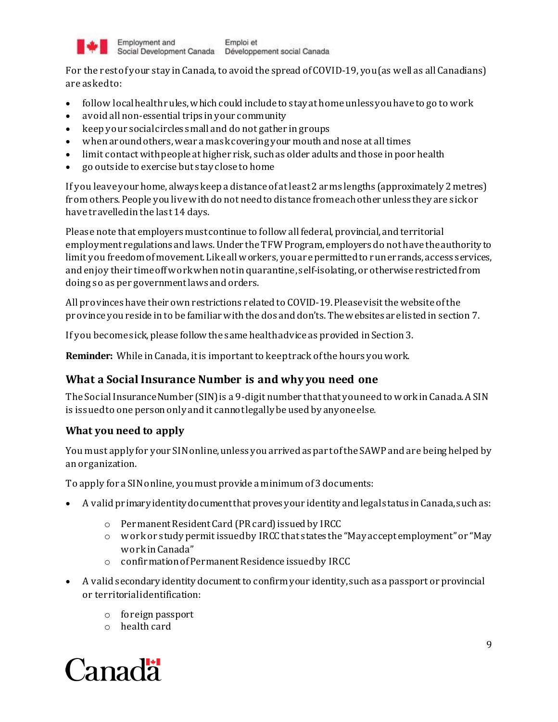

For the rest of your stay in Canada, to avoid the spread of COVID-19, you (as well as all Canadians) are asked to:

- follow local health rules, which could include to stay at home unless you have to go to work
- avoid all non-essential trips in your community
- keep your social circles small and do not gather in groups
- when around others, wear a maskcovering your mouth and nose at all times
- limit contact with people at higher risk, such as older adults and those in poor health
- go outside to exercise but stay close to home

If you leave your home, always keep a distance of at least 2 arms lengths (approximately 2 metres) from others. People you live with do not need to distance from each other unless they are sick or have travelled in the last 14 days.

Please note that employers must continue to follow all federal, provincial, and territorial employment regulations and laws. Under the TFW Program, employers do not have the authority to limit you freedom of movement. Like all workers, youare permitted to run errands, access services, and enjoy their time off work when not in quarantine, self-isolating, or otherwise restricted from doing so as per government laws and orders.

All provinces have their own restrictions related to COVID-19. Please visit the website of the province you reside in to be familiar with the dos and don'ts. The websites are listed in section 7.

If you become sick, please follow the same health advice as provided in Section 3.

**Reminder:** While in Canada, it is important to keep track of the hours you work.

# **What a Social Insurance Number is and why you need one**

The Social Insurance Number (SIN) is a 9-digit number that that you need to work in Canada. A SIN is issued to one person only and it cannot legally be used by anyone else.

### **What you need to apply**

You must apply for your SIN online, unless you arrived as part of the SAWP and are being helped by an organization.

To apply for a SIN online, you must provide a minimum of 3 documents:

- A valid primary identity document that proves your identity and legal status in Canada, such as:
	- o Permanent Resident Card (PR card) issued by IRCC
	- o work or study permit issued by IRCC that states the "May accept employment" or "May work in Canada"
	- o confirmation of Permanent Residence issued by IRCC
- A valid secondary identity document to confirm your identity, such as a passport or provincial or territorial identification:
	- o foreign passport
	- o health card

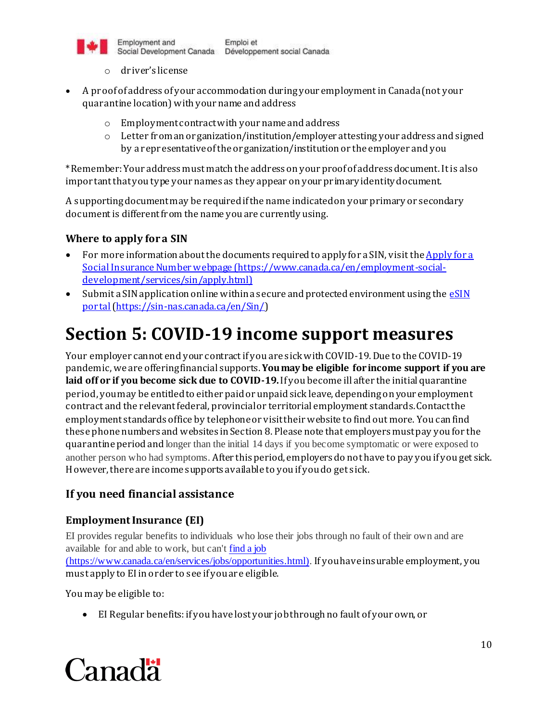

- o driver's license
- A proof of address of your accommodation during your employment in Canada (not your quarantine location) with your name and address
	- o Employment contract with your name and address
	- $\circ$  Letter from an organization/institution/employer attesting your address and signed by a representative of the organization/institution or the employer and you

\*Remember: Your address must match the address on your proof of address document. It is also important that you type your names as they appear on your primary identity document.

A supporting document may be required if the name indicated on your primary or secondary document is different from the name you are currently using.

#### **Where to apply for a SIN**

- For more information about the documents required to apply for a SIN, visit the Apply for a [Social Insurance Number webpage](https://www.canada.ca/en/employment-social-development/services/sin/apply.html) (https://www.canada.ca/en/employment-socialdevelopment/services/sin/apply.html)
- $\bullet$  Submit a SIN application online within a secure and protected environment using the  $\frac{1}{2}$ [portal\(https://sin-nas.canada.ca/en/Sin/](https://sin-nas.canada.ca/en/Sin/))

# **Section 5: COVID-19 income support measures**

Your employer cannot end your contract if you are sick with COVID-19. Due to the COVID-19 pandemic, we are offering financial supports. **You may be eligible for income support if you are**  laid off or if you become sick due to COVID-19. If you become ill after the initial quarantine period, you may be entitled to either paid or unpaid sick leave, depending on your employment contract and the relevant federal, provincial or territorial employment standards. Contact the employment standards office by telephoneor visit their website to find out more. You can find these phone numbers and websites in Section 8. Please note that employers must pay you for the quarantine period and longer than the initial 14 days if you become symptomatic or were exposed to another person who had symptoms. After this period, employers do not have to pay you if you get sick. However, there are income supports available to you if you do get sick.

### **If you need financial assistance**

#### **Employment Insurance (EI)**

EI provides regular benefits to individuals who lose their jobs through no fault of their own and are available for and able to work, but can'[t find a job](https://www.canada.ca/en/services/jobs/opportunities.html) (https://www.canada.ca/en/services/jobs/opportunities.html). If you have insurable employment, you must apply to EI in order to see if you are eligible.

You may be eligible to:

• El Regular benefits: if you have lost your job through no fault of your own, or

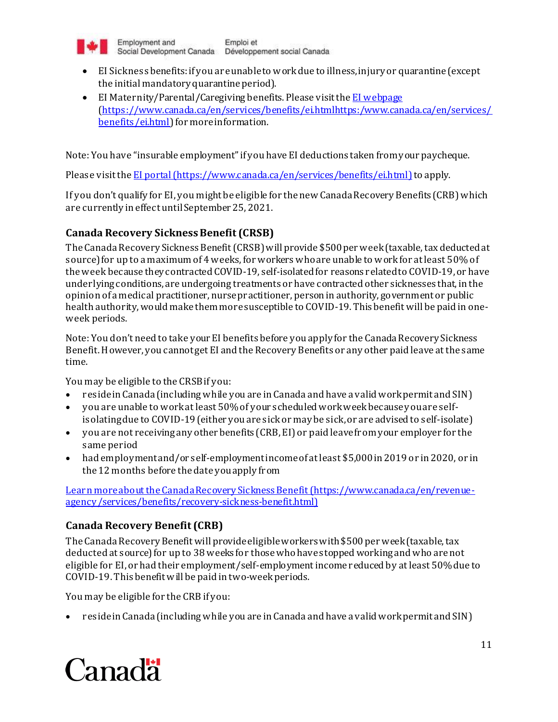

- EI Sickness benefits: if you are unable to work due to illness, injury or quarantine (except the initial mandatory quarantine period).
- EI Maternity/Parental/Caregiving benefits. Please visit th[e EI webpage](https://www.canada.ca/en/services/benefits/ei.htmlhttps:/www.canada.ca/en/services/benefits/ei.html) [\(https://www.canada.ca/en/services/benefits/ei.htmlhttps:/www.canada.ca/en/services/](https://www.canada.ca/en/services/benefits/ei.htmlhttps:/www.canada.ca/en/services/benefits/ei.html) [benefits/ei.html](https://www.canada.ca/en/services/benefits/ei.htmlhttps:/www.canada.ca/en/services/benefits/ei.html)) for more information.

Note: You have "insurable employment"if you have EI deductions taken from your paycheque.

Please visit th[e EI portal](https://www.canada.ca/en/services/benefits/ei.html) (https://www.canada.ca/en/services/benefits/ei.html) to apply.

If you don't qualify for EI, you might be eligible for the new Canada Recovery Benefits (CRB) which are currently in effect until September 25, 2021.

### **Canada Recovery Sickness Benefit (CRSB)**

The Canada Recovery Sickness Benefit (CRSB) will provide \$500 per week (taxable, tax deducted at source) for up to a maximum of 4 weeks, for workers who are unable to work for at least 50% of the week because they contracted COVID-19, self-isolated for reasons related to COVID-19, or have underlying conditions, are undergoing treatments or have contracted other sicknesses that, in the opinion of a medical practitioner, nurse practitioner, person in authority, government or public health authority, would make them more susceptible to COVID-19. This benefit will be paid in oneweek periods.

Note: You don't need to take your EI benefits before you apply for the Canada Recovery Sickness Benefit. However, you cannot get EI and the Recovery Benefits or any other paid leave at the same time.

You may be eligible to the CRSB if you:

- reside in Canada (including while you are in Canada and have a valid work permit and SIN)
- you are unable to work at least 50% of your scheduled work week because you are selfisolating due to COVID-19 (either you are sick or may be sick, or are advised to self-isolate)
- you are not receiving any other benefits (CRB, EI) or paid leave from your employer for the same period
- had employment and/or self-employment income of at least \$5,000 in 2019 or in 2020, or in the 12 months before the date you apply from

[Learn more about the Canada Recovery Sickness Benefit](https://www.canada.ca/en/revenue-agency/services/benefits/recovery-sickness-benefit.html) (https://www.canada.ca/en/revenueagency/services/benefits/recovery-sickness-benefit.html)

### **Canada Recovery Benefit (CRB)**

The Canada Recovery Benefit will provide eligible workers with \$500 per week (taxable, tax deducted at source) for up to 38 weeks for those who have stopped working and who are not eligible for EI, or had their employment/self-employment income reduced by at least 50% due to COVID-19. This benefit will be paid in two-week periods.

You may be eligible for the CRB if you:

reside in Canada (including while you are in Canada and have a valid work permit and SIN)

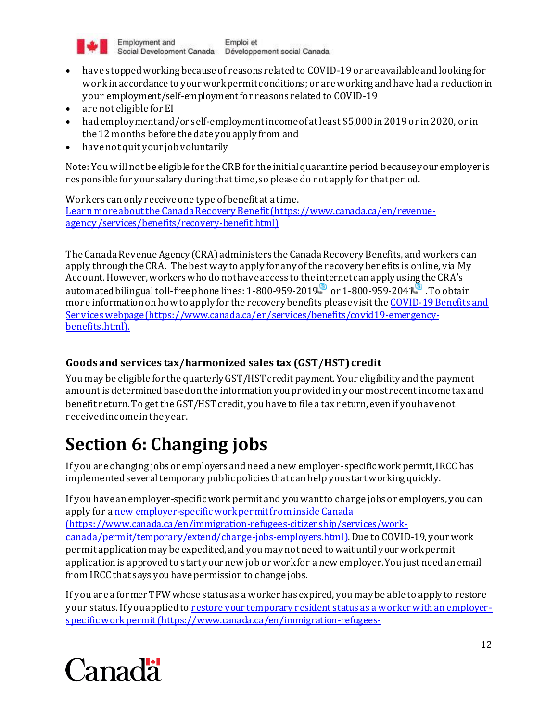

- have stopped working because of reasons related to COVID-19 or are available and looking for workin accordance to your work permit conditions; or are working and have had a reduction in your employment/self-employment for reasons related to COVID-19
- are not eligible for EI
- had employment and/or self-employment income of at least \$5,000 in 2019 or in 2020, or in the 12 months before the date you apply from and
- have not quit your job voluntarily

Note: You will not be eligible for the CRB for the initial quarantine period because your employer is responsible for your salary during that time, so please do not apply for that period.

Workers can only receive one type of benefit at a time. [Learn more about the Canada Recovery Benefit](https://www.canada.ca/en/revenue-agency/services/benefits/recovery-benefit.html)(https://www.canada.ca/en/revenueagency/services/benefits/recovery-benefit.html)

The Canada Revenue Agency (CRA) administers the Canada Recovery Benefits, and workers can apply through the CRA. The best way to apply for any of the recovery benefits is online, vi[a My](https://www.canada.ca/en/revenue-agency/services/e-services/e-services-individuals/account-individuals.html)  [Account](https://www.canada.ca/en/revenue-agency/services/e-services/e-services-individuals/account-individuals.html). However, workers who do not have access to the internet can apply using the CRA's automated bilingual toll-free phone lines:  $1-800-959-2019$  $1-800-959-2019$  $1-800-959-2019$  $1-800-959-2019$  $1-800-959-2019$  s or  $1-800-959-2041$  . To obtain more information on how to apply for the recovery benefits pleasevisit th[e COVID-19 Benefits and](COVID-19%20Benefits%20and%20Services%20webpage%20(https:/www.canada.ca/en/services/benefits/covid19-emergency-benefits.html).)  [Serviceswebpage \(https://www.canada.ca/en/services/benefits/covid19-emergency](COVID-19%20Benefits%20and%20Services%20webpage%20(https:/www.canada.ca/en/services/benefits/covid19-emergency-benefits.html).)[benefits.html\).](COVID-19%20Benefits%20and%20Services%20webpage%20(https:/www.canada.ca/en/services/benefits/covid19-emergency-benefits.html).)

# **Goods and services tax/harmonized sales tax (GST/HST) credit**

You may be eligible for the quarterly GST/HST credit payment. Your eligibility and the payment amount is determined based on the information you provided in your most recent income tax and benefit return. To get the GST/HST credit, you have to file a tax r eturn, even if you have not received income in the year.

# **Section 6: Changing jobs**

If you are changing jobs or employers and need a new employer-specific work permit, IRCC has implemented several temporary public policies that can help you start working quickly.

If you have an employer-specific work permit and you want to change jobs or employers, you can apply for [a new employer-specific work permit from inside Canada](https://www.canada.ca/en/immigration-refugees-citizenship/services/work-canada/permit/temporary/extend/change-jobs-employers.html) (https://www.canada.ca/en/immigration-refugees-citizenship/services/workcanada/permit/temporary/extend/change-jobs-employers.html). Due to COVID-19, your work permit application may be expedited, and you may not need to wait until your work permit application is approved to start your new job or work for a new employer. You just need an email from IRCC that says you have permission to change jobs.

If you are a former TFW whose status as a worker has expired, you may be able to apply to restore your status. If you applied to [restore your temporary resident status as a worker with an employer](https://www.canada.ca/en/immigration-refugees-citizenship/services/coronavirus-covid19/restoration-extension-trv.html#applied)[specific work permit](https://www.canada.ca/en/immigration-refugees-citizenship/services/coronavirus-covid19/restoration-extension-trv.html#applied)(https://www.canada.ca/en/immigration-refugees-

# Canadä<sup>r</sup>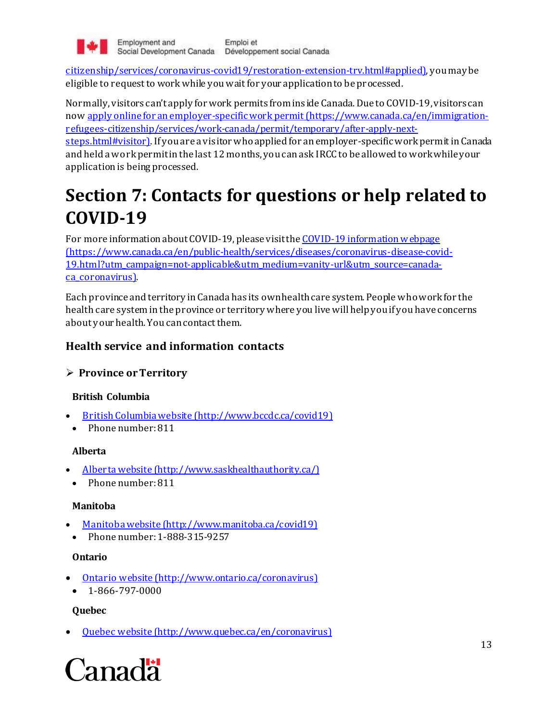

citizenship/services/coronavirus-covid19/restoration-extension-trv.html#applied), you may be eligible to request to work while you wait for your application to be processed.

Normally, visitors can't apply for work permits from ins ide Canada. Due to COVID-19, visitors can no[w apply online for an employer-specific work permit](https://www.canada.ca/en/immigration-refugees-citizenship/services/work-canada/permit/temporary/after-apply-next-steps.html#visitor)(https://www.canada.ca/en/immigrationrefugees-citizenship/services/work-canada/permit/temporary/after-apply-next-

steps.html#visitor). If you are a visitor who applied for an employer-specific work permit in Canada and held a work permit in the last 12 months, you can ask IRCC to be allowed to work while your application is being processed.

# **Section 7: Contacts for questions or help related to COVID-19**

For more information about COVID-19, please visitth[e COVID-19 information](https://www.canada.ca/en/public-health/services/diseases/coronavirus-disease-covid-19.html?utm_campaign=not-applicable&utm_medium=vanity-url&utm_source=canada-ca_coronavirus) webpage (https://www.canada.ca/en/public-health/services/diseases/coronavirus-disease-covid-19.html?utm\_campaign=not-applicable&utm\_medium=vanity-url&utm\_source=canadaca\_coronavirus).

Each province and territory in Canada has its own health care system. People who work for the health care system in the province or territory where you live will help you if you have concerns about your health. You can contact them.

# **Health service and information contacts**

### **Province or Territory**

### **British Columbia**

- [British Columbia website](http://www.bccdc.ca/covid19) (http://www.bccdc.ca/covid19)
- Phone number: 811

#### **Alberta**

- [Alberta website](http://www.saskhealthauthority.ca/) (http://www.saskhealthauthority.ca/)
- Phone number: 811

#### **Manitoba**

- [Manitoba website](http://www.manitoba.ca/covid19) (http://www.manitoba.ca/covid19)
- Phone number: 1-888-315-9257

#### **Ontario**

- [Ontario website](http://www.ontario.ca/coronavirus) [\(http://www.ontario.ca/coronavirus](http://www.ontario.ca/coronavirus))
- $\bullet$  1-866-797-0000

#### **Quebec**

[Quebec website](http://www.quebec.ca/en/coronavirus) (http://www.quebec.ca/en/coronavirus)

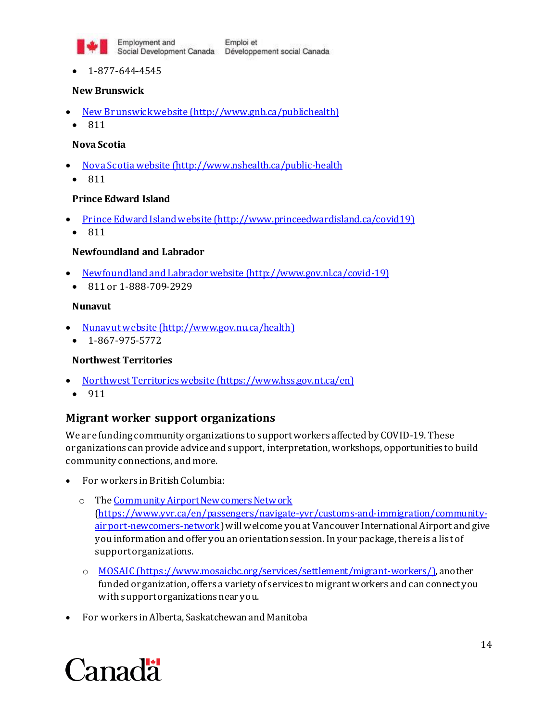

1-877-644-4545

#### **New Brunswick**

- [New Brunswick website](http://www.gnb.ca/publichealth) (http://www.gnb.ca/publichealth)
	- 811

#### **Nova Scotia**

- [Nova Scotia website](http://www.nshealth.ca/public-health) (http://www.nshealth.ca/public-health
	- 811

#### **Prince Edward Island**

- [Prince Edward Island website](http://www.princeedwardisland.ca/covid19) (http://www.princeedwardisland.ca/covid19)
- $811$

#### **Newfoundland and Labrador**

- [Newfoundland and Labrador website](http://www.gov.nl.ca/covid-19) (http://www.gov.nl.ca/covid-19)
- 811 or 1-888-709-2929

#### **Nunavut**

- [Nunavut website](http://www.gov.nu.ca/health) (http://www.gov.nu.ca/health)
- $-1-867-975-5772$

#### **Northwest Territories**

- [Northwest Territories website](https://www.hss.gov.nt.ca/en) (https://www.hss.gov.nt.ca/en)
- 911

#### **Migrant worker support organizations**

We are funding community organizations to support workers affected by COVID-19. These organizations can provide advice and support, interpretation, workshops, opportunities to build community connections, and more.

- For workers in British Columbia:
	- o Th[e Community Airport Newcomers Network](https://www.yvr.ca/en/passengers/navigate-yvr/customs-and-immigration/community-airport-newcomers-network) [\(https://www.yvr.ca/en/passengers/navigate-yvr/customs-and-immigration/community](https://www.yvr.ca/en/passengers/navigate-yvr/customs-and-immigration/community-airport-newcomers-network)[airport-newcomers-network](https://www.yvr.ca/en/passengers/navigate-yvr/customs-and-immigration/community-airport-newcomers-network)) will welcome you at Vancouver International Airport and give you information and offer you an orientationsession. In your package, there is a list of support organizations.
	- o [MOSAIC](https://www.mosaicbc.org/services/settlement/migrant-workers/) (https://www.mosaicbc.org/services/settlement/migrant-workers/), another funded organization, offers a variety of services to migrant workers and can connect you with support organizations near you.
- For workers in Alberta, Saskatchewan and Manitoba

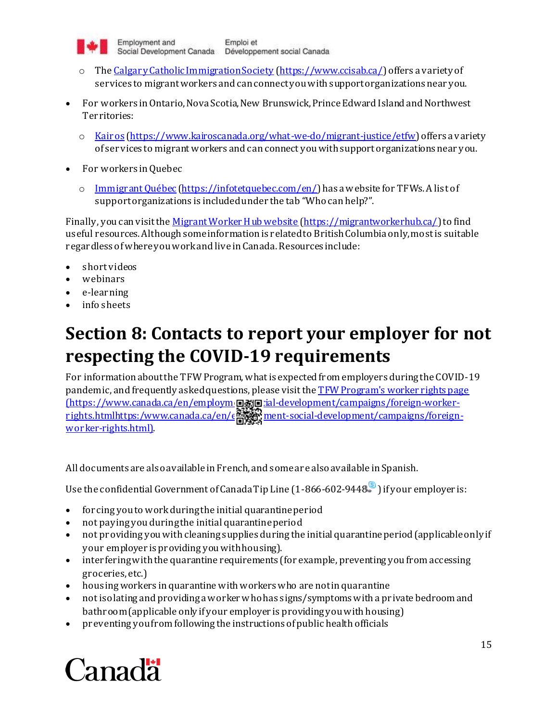

- o Th[e Calgary Catholic Immigration Society](https://www.ccisab.ca/) [\(https://www.ccisab.ca/](https://www.ccisab.ca/)) offers a variety of services to migrant workers and can connect you with support organizations near you.
- For workers in Ontario, Nova Scotia, New Brunswick, Prince Edward Island and Northwest Territories:
	- o [Kairos](https://www.kairoscanada.org/what-we-do/migrant-justice/etfw) [\(https://www.kairoscanada.org/what-we-do/migrant-justice/etfw](https://www.kairoscanada.org/what-we-do/migrant-justice/etfw)) offers a variety of services to migrant workers and can connect you with support organizations near you.
- For workers in Quebec
	- o [Immigrant Québec](https://infotetquebec.com/en/) [\(https://infotetquebec.com/en/](https://infotetquebec.com/en/)) has a website for TFWs. A list of support organizations is included under the tab "Who can help?".

Finally, you can visit th[e Migrant Worker Hub website](https://migrantworkerhub.ca/) [\(https://migrantworkerhub.ca/](https://migrantworkerhub.ca/)) to find useful resources. Although some information is related to British Columbia only, most is suitable regardless of where you work and live in Canada. Resources include:

- short videos
- webinars
- e-learning
- info sheets

# **Section 8: Contacts to report your employer for not respecting the COVID-19 requirements**

For information about the TFW Program, what is expected from employers during the COVID-19 pandemic, and frequently asked questions, please visit th[e TFWProgram's worker rights page](https://www.canada.ca/en/employment-social-development/campaigns/foreign-worker-rights.htmlhttps:/www.canada.ca/en/employment-social-development/campaigns/foreign-worker-rights.html) (https://www.canada.ca/en/employm**@剥回**:ial-development/campaigns/foreign-workerrights.htmlhttps:/www.canada.ca/en/employment-social-development/campaigns/foreignworker-rights.html).

All documents are also available in French, and some are also available in Spanish.

Use the confidential Government of Canada Tip Line (1-[8](https://www.canada.ca/en/services/benefits/ei/cerb-application/transition/questions.html)66-602-9448 ) if your employer is:

- forcing you to work during the initial quarantine period
- not paying you during the initial quarantine period
- not providing you with cleaning supplies during the initial quarantine period (applicable only if your employer is providing you with housing).
- interfering with the quarantine requirements (for example, preventing you from accessing groceries, etc.)
- housing workers in quarantine with workers who are not in quarantine
- not isolating and providing a worker who has signs/symptoms with a private bedroom and bathroom (applicable only if your employer is providing you with housing)
- preventing you from following the instructions of public health officials

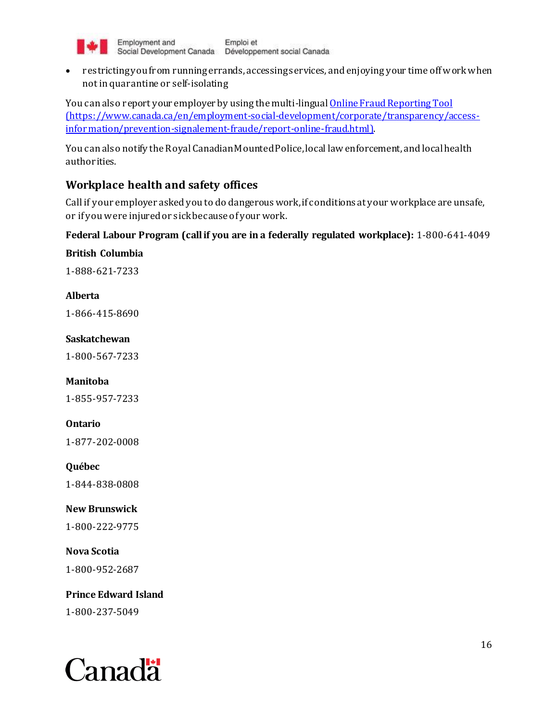

• restricting you from running errands, accessings ervices, and enjoying your time off work when not in quarantine or self-isolating

You can also report your employer by using the multi-lingu[al Online Fraud Reporting Tool](https://www.canada.ca/en/employment-social-development/corporate/transparency/access-information/prevention-signalement-fraude/report-online-fraud.html) (https://www.canada.ca/en/employment-social-development/corporate/transparency/accessinformation/prevention-signalement-fraude/report-online-fraud.html).

You can also notify the Royal Canadian Mounted Police, local law enforcement, and local health authorities.

# **Workplace health and safety offices**

Call if your employer asked you to do dangerous work, if conditions at your workplace are unsafe, or if you were injured or sick because of your work.

#### **Federal Labour Program (call if you are in a federally regulated workplace):** 1-800-641-4049

**British Columbia**

1-888-621-7233

#### **Alberta**

1-866-415-8690

#### **Saskatchewan**

1-800-567-7233

### **Manitoba**

1-855-957-7233

### **Ontario**

1-877-202-0008

**Québec**

1-844-838-0808

# **New Brunswick**

1-800-222-9775

**Nova Scotia** 1-800-952-2687

**Prince Edward Island** 1-800-237-5049

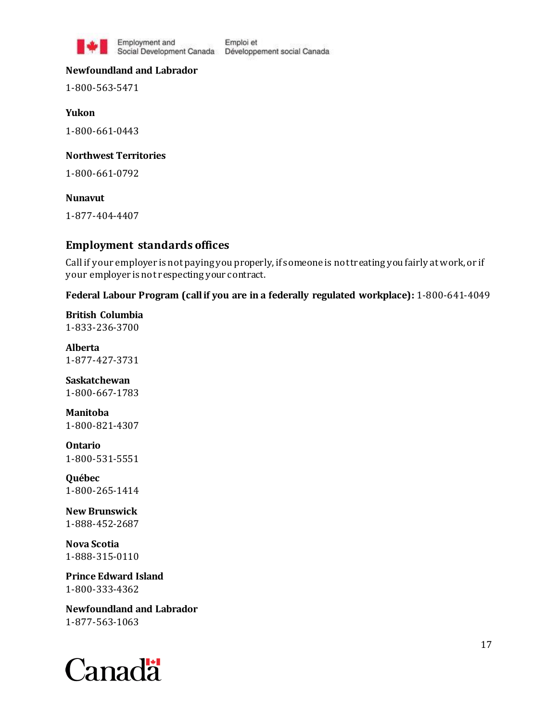

Employment and

Emploi et Social Development Canada Développement social Canada

#### **Newfoundland and Labrador**

1-800-563-5471

**Yukon** 1-800-661-0443

#### **Northwest Territories**

1-800-661-0792

#### **Nunavut**

1-877-404-4407

#### **Employment standards offices**

Call if your employer is not paying you properly, if someone is not treating you fairly at work, or if your employer is not respecting your contract.

#### **Federal Labour Program (call if you are in a federally regulated workplace):** 1-800-641-4049

**British Columbia** 1-833-236-3700

**Alberta** 1-877-427-3731

**Saskatchewan** 1-800-667-1783

**Manitoba** 1-800-821-4307

**Ontario** 1-800-531-5551

**Québec** 1-800-265-1414

**New Brunswick** 1-888-452-2687

**Nova Scotia** 1-888-315-0110

**Prince Edward Island** 1-800-333-4362

**Newfoundland and Labrador** 1-877-563-1063